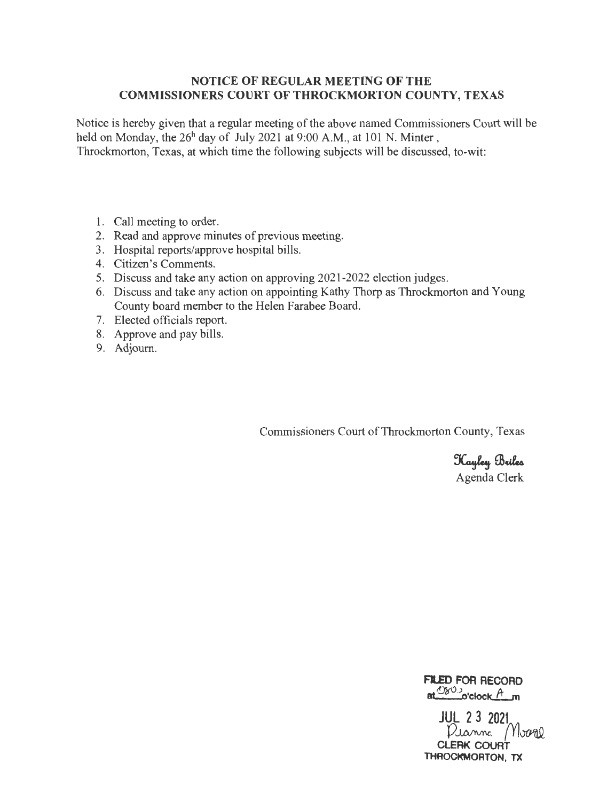### **NOTICE OF REGULAR MEETING OF THE COMMISSIONERS COURT OF THROCKMORTON COUNTY, TEXAS**

Notice is hereby given that a regular meeting of the above named Commissioners Court will be held on Monday, the  $26<sup>h</sup>$  day of July 2021 at 9:00 A.M., at 101 N. Minter, Throckmorton, Texas, at which time the following subjects will be discussed, to-wit:

- 1. Call meeting to order.
- 2. Read and approve minutes of previous meeting.
- 3. Hospital reports/approve hospital bills.
- 4. Citizen's Comments.
- 5. Discuss and take any action on approving 2021-2022 election judges.
- 6. Discuss and take any action on appointing Kathy Thorp as Throckmorton and Young County board member to the Helen Farabee Board.
- 7. Elected officials report.
- 8. Approve and pay bills.
- 9. Adjourn.

Commissioners Court of Throckmorton County, Texas

Kayley Briles Agenda Clerk

**Fl.ED FOR RECORD**  at  $^{080}$  o'clock  $^{A}$  m

**JUL 2 3 2021**<br>Dianne *Mour* 0 **CLERK COURT THROCKMORTON, TX**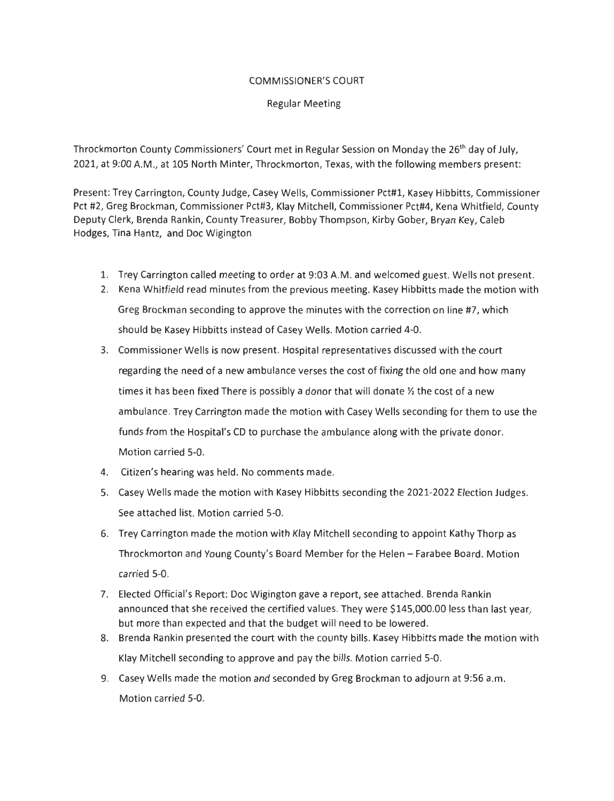#### COMMISSIONER'S COURT

#### Regular Meeting

Throckmorton County Commissioners' Court met in Regular Session on Monday the 26<sup>th</sup> day of July, 2021, at 9:00 A.M ., at 105 North Minter, Throckmorton, Texas, with the following members present:

Present: Trey Carrington, County Judge, Casey Wells, Commissioner Pct#l, Kasey Hibbitts, Commissioner Pct #2, Greg Brockman, Commissioner Pct#3, Klay Mitchell, Commissioner Pct#4, Kena Whitfield, County Deputy Clerk, Brenda Rankin, County Treasurer, Bobby Thompson, Kirby Gober, Bryan Key, Caleb Hodges, Tina Hantz, and Doc Wigington

- 1. Trey Carrington called meeting to order at 9:03 A.M. and welcomed guest. Wells not present.
- 2. Kena Whitfield read minutes from the previous meeting. Kasey Hibbitts made the motion with Greg Brockman seconding to approve the minutes with the correction on line #7, which should be Kasey Hibbitts instead of Casey Wells. Motion carried 4-0.
- 3. Commissioner Wells is now present. Hospital representatives discussed with the court regarding the need of a new ambulance verses the cost of fixing the old one and how many times it has been fixed There is possibly a donor that will donate  $\frac{1}{2}$  the cost of a new ambulance. Trey Carrington made the motion with Casey Wells seconding for them to use the funds from the Hospital's CD to purchase the ambulance along with the private donor. Motion carried 5-0.
- 4. Citizen's hearing was held. No comments made.
- 5. Casey Wells made the motion with Kasey Hibbitts seconding the 2021-2022 Election Judges. See attached list. Motion carried 5-0.
- 6. Trey Carrington made the motion with Klay Mitchell seconding to appoint Kathy Thorp as Throckmorton and Young County's Board Member for the Helen - Farabee Board. Motion carried 5-0.
- 7. Elected Official's Report: Doc Wigington gave a report, see attached. Brenda Rankin announced that she received the certified values. They were \$145,000.00 less than last year, but more than expected and that the budget will need to be lowered.
- 8. Brenda Rankin presented the court with the county bills. Kasey Hibbitts made the motion with Klay Mitchell seconding to approve and pay the bills. Motion carried 5-0.
- 9. Casey Wells made the motion and seconded by Greg Brockman to adjourn at 9:56 a.m. Motion carried 5-0.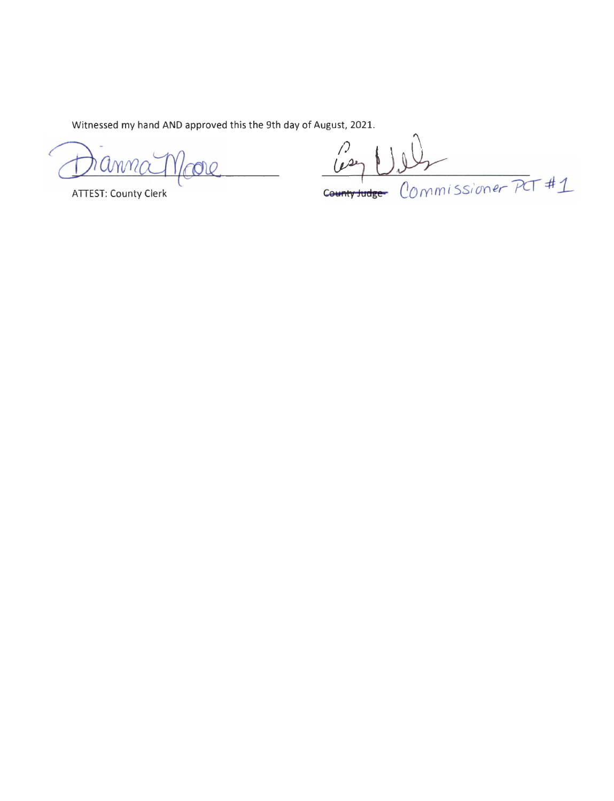Witnessed my hand AND approved this the 9th day of August, 2021.

anna Moore

**ATTEST: County Clerk** 

 $\frac{100}{100}$ **unty Judge-** COMMISSioner PCT #1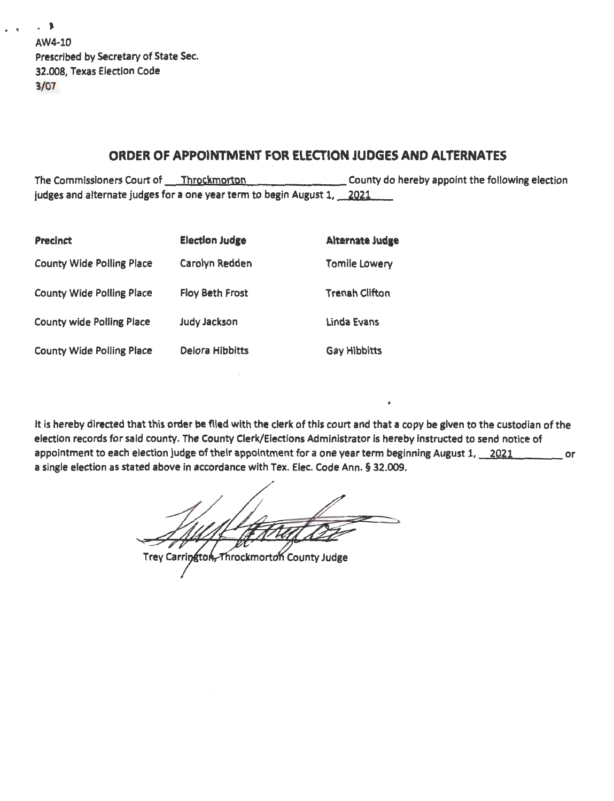| $\cdot$ 1                             |
|---------------------------------------|
| AW4-10                                |
| Prescribed by Secretary of State Sec. |
| 32.008, Texas Election Code           |
| 3/07                                  |

# ORDER OF APPOINTMENT FOR ELEcrlON JUDGES AND ALTERNATES

The Commissioners Court of \_ ..... T .... h\_.r2...,c-.km....\_o ... rt ... 2n...\_..,.....,... \_\_\_\_\_\_ County do hereby appoint the following election judges and alternate judges for a one year term to begin August 1, 2021

| <b>Precinct</b>                  | <b>Election Judge</b>  | <b>Alternate Judge</b> |
|----------------------------------|------------------------|------------------------|
| <b>County Wide Polling Place</b> | Carolyn Redden         | Tomile Lowery          |
| <b>County Wide Polling Place</b> | <b>Floy Beth Frost</b> | <b>Trenah Clifton</b>  |
| <b>County wide Polling Place</b> | <b>Judy Jackson</b>    | Linda Evans            |
| <b>County Wide Polling Place</b> | Delora Hibbitts        | <b>Gay Hibbitts</b>    |

It is hereby directed that this order be flied with the clerk of this court and that a copy be given to the custodian of the election records for said county. The County Clerk/Elections Administrator is hereby instructed to send notice of appointment to each election judge of their appointment for a one year term beginning August 1, 2021 cases or a single election as stated above in accordance with Tex. Elec. Code Ann. § 32.009.

Trey Carrington, Throckmorton County Judge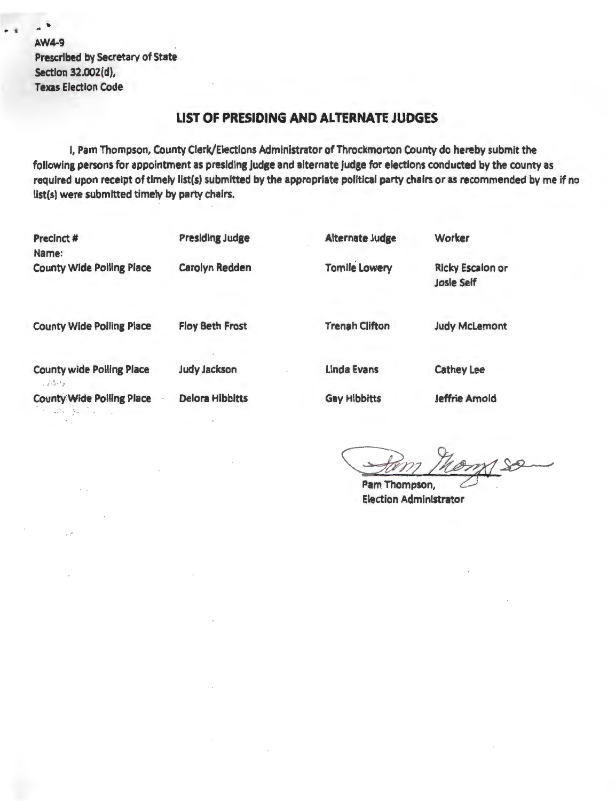$. 1$ Prescribed by Secretary of State Section 32.002(d), Texas Election Code

## **LIST OF PRESIDING AND ALTERNATE JUDGES**

I, Pam Thompson, County Clerk/Elections Administrator of Throckmorton County do hereby submit the following persons for appointment as presiding judge and alternate judge for elections conducted by the county as required upon receipt of timely list(s) submitted by the appropriate political party chairs or as recommended by me if no list(s) were submitted timely by party chairs.

| <b>Precinct #</b><br>Name:                        | <b>Presiding Judge</b> | <b>Alternate Judge</b> | Worker                                       |
|---------------------------------------------------|------------------------|------------------------|----------------------------------------------|
| <b>County Wide Polling Place</b>                  | Carolyn Redden         | <b>Tomile Lowery</b>   | <b>Ricky Escalon or</b><br><b>Josle Self</b> |
| <b>County Wide Polling Place</b>                  | <b>Floy Beth Frost</b> | <b>Trenah Clifton</b>  | <b>Judy McLemont</b>                         |
| <b>County wide Polling Place</b><br>رئين ٿي       | <b>Judy Jackson</b>    | <b>Linda Evans</b>     | <b>Cathey Lee</b>                            |
| <b>County Wide Polling Place</b><br>and the state | <b>Delora Hibbitts</b> | <b>Gay Hibbitts</b>    | <b>Jeffrie Arnold</b>                        |

 $^{\circ}$ 

Pam Thompson, Election Administrator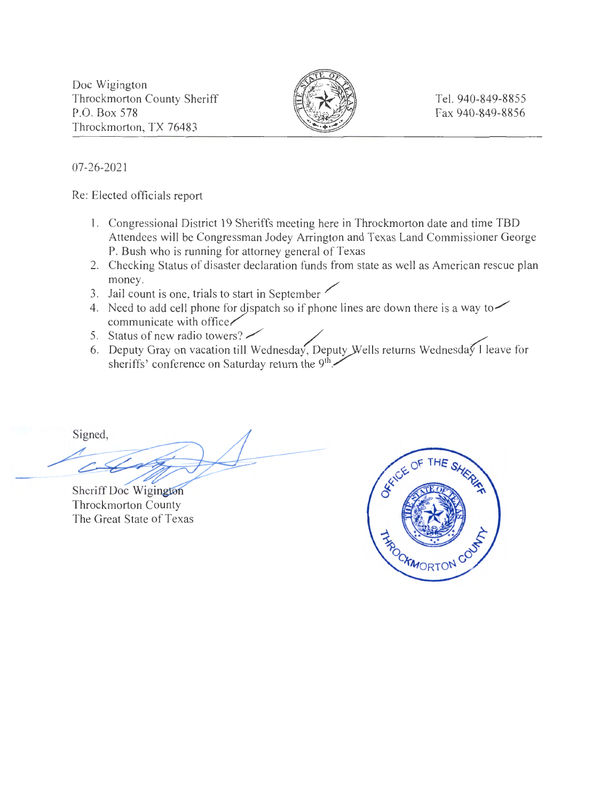Doc Wigington Throckmorton County Sheriff P.O. Box 578 Throckmorton, TX 76483



Tel. 940-849-8855 Fax 940-849-8856

07-26-2021

Re: Elected officials report

- 1. Congressional District 19 Sheriffs meeting here in Throckmorton date and time TBD Attendees will be Congressman Jodey Arrington and Texas Land Commissioner George P. Bush who is running for attorney general of Texas
- 2. Checking Status of disaster declaration funds from state as well as American rescue plan money.
- 3. Jail count is one, trials to start in September
- 4. Need to add cell phone for dispatch so if phone lines are down there is a way to  $\sim$  $comm$ unicate with office $\checkmark$ 5. Status of new radio towers?
- 
- 6. Deputy Gray on vacation till Wednesday, Deputy Wells returns Wednesday I leave for sheriffs' conference on Saturday return the  $9<sup>th</sup>$

Signed,

Sheriff Doc Wigi Throckmorton County The Great State of Texas

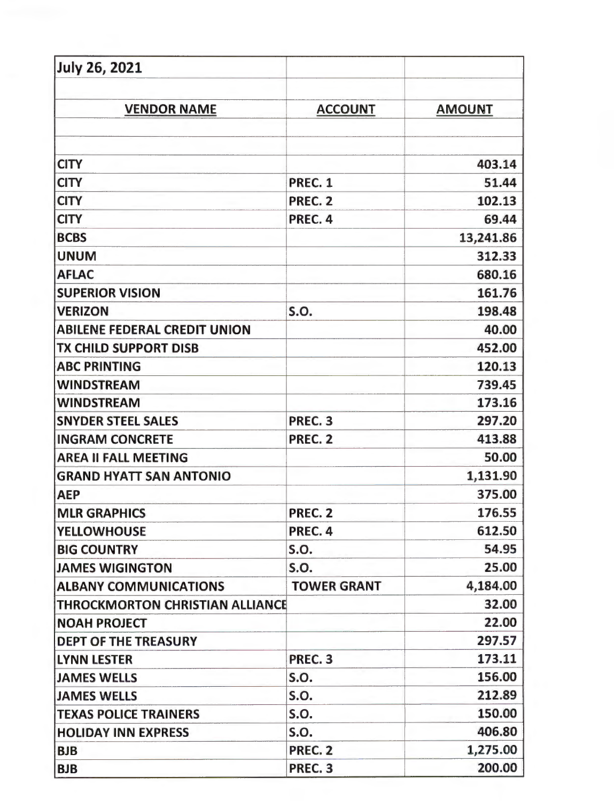| <b>July 26, 2021</b>                   |                    |               |
|----------------------------------------|--------------------|---------------|
| <b>VENDOR NAME</b>                     | <b>ACCOUNT</b>     | <b>AMOUNT</b> |
|                                        |                    |               |
| <b>CITY</b>                            |                    | 403.14        |
| <b>CITY</b>                            | PREC. 1            | 51.44         |
| <b>CITY</b>                            | PREC. 2            | 102.13        |
| <b>CITY</b>                            | PREC. 4            | 69.44         |
| <b>BCBS</b>                            |                    | 13,241.86     |
| <b>UNUM</b>                            |                    | 312.33        |
| <b>AFLAC</b>                           |                    | 680.16        |
| <b>SUPERIOR VISION</b>                 |                    | 161.76        |
| <b>VERIZON</b>                         | S.O.               | 198.48        |
| <b>ABILENE FEDERAL CREDIT UNION</b>    |                    | 40.00         |
| TX CHILD SUPPORT DISB                  |                    | 452.00        |
| <b>ABC PRINTING</b>                    |                    | 120.13        |
| <b>WINDSTREAM</b>                      |                    | 739.45        |
| <b>WINDSTREAM</b>                      |                    | 173.16        |
| <b>SNYDER STEEL SALES</b>              | PREC. 3            | 297.20        |
| <b>INGRAM CONCRETE</b>                 | PREC. 2            | 413.88        |
| <b>AREA II FALL MEETING</b>            |                    | 50.00         |
| <b>GRAND HYATT SAN ANTONIO</b>         |                    | 1,131.90      |
| <b>AEP</b>                             |                    | 375.00        |
| <b>MLR GRAPHICS</b>                    | PREC. 2            | 176.55        |
| <b>YELLOWHOUSE</b>                     | PREC. 4            | 612.50        |
| <b>BIG COUNTRY</b>                     | <b>S.O.</b>        | 54.95         |
| <b>JAMES WIGINGTON</b>                 | <b>S.O.</b>        | 25.00         |
| <b>ALBANY COMMUNICATIONS</b>           | <b>TOWER GRANT</b> | 4,184.00      |
| <b>THROCKMORTON CHRISTIAN ALLIANCE</b> |                    | 32.00         |
| <b>NOAH PROJECT</b>                    |                    | 22.00         |
| <b>DEPT OF THE TREASURY</b>            |                    | 297.57        |
| <b>LYNN LESTER</b>                     | PREC. 3            | 173.11        |
| <b>JAMES WELLS</b>                     | <b>S.O.</b>        | 156.00        |
| <b>JAMES WELLS</b>                     | <b>S.O.</b>        | 212.89        |
| <b>TEXAS POLICE TRAINERS</b>           | <b>S.O.</b>        | 150.00        |
| <b>HOLIDAY INN EXPRESS</b>             | <b>S.O.</b>        | 406.80        |
| <b>BJB</b>                             | PREC. 2            | 1,275.00      |
| <b>BJB</b>                             | PREC. 3            | 200.00        |